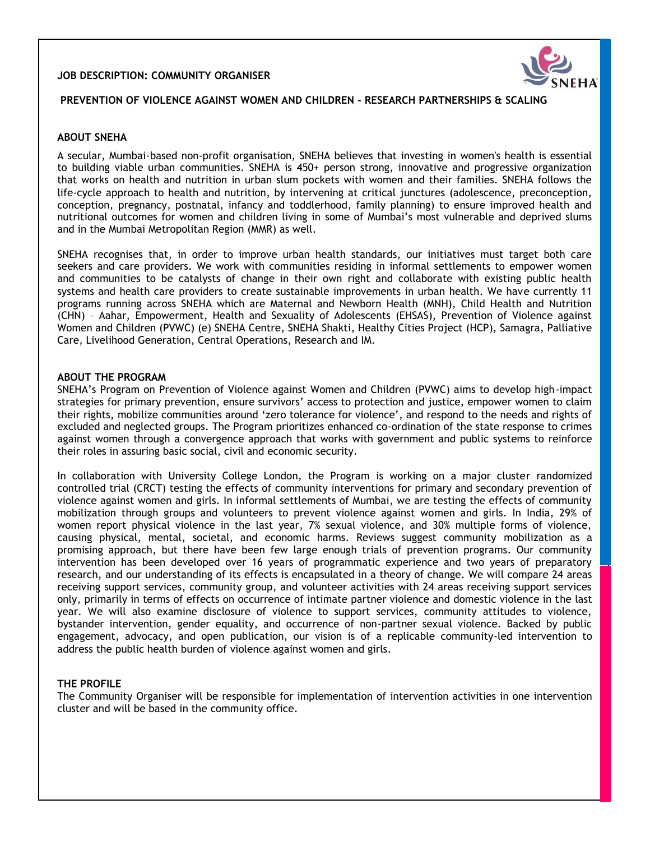### **JOB DESCRIPTION: COMMUNITY ORGANISER**



# **PREVENTION OF VIOLENCE AGAINST WOMEN AND CHILDREN - RESEARCH PARTNERSHIPS & SCALING**

### **ABOUT SNEHA**

A secular, Mumbai-based non-profit organisation, SNEHA believes that investing in women's health is essential to building viable urban communities. SNEHA is 450+ person strong, innovative and progressive organization that works on health and nutrition in urban slum pockets with women and their families. SNEHA follows the life-cycle approach to health and nutrition, by intervening at critical junctures (adolescence, preconception, conception, pregnancy, postnatal, infancy and toddlerhood, family planning) to ensure improved health and nutritional outcomes for women and children living in some of Mumbai's most vulnerable and deprived slums and in the Mumbai Metropolitan Region (MMR) as well.

SNEHA recognises that, in order to improve urban health standards, our initiatives must target both care seekers and care providers. We work with communities residing in informal settlements to empower women and communities to be catalysts of change in their own right and collaborate with existing public health systems and health care providers to create sustainable improvements in urban health. We have currently 11 programs running across SNEHA which are Maternal and Newborn Health (MNH), Child Health and Nutrition (CHN) – Aahar, Empowerment, Health and Sexuality of Adolescents (EHSAS), Prevention of Violence against Women and Children (PVWC) (e) SNEHA Centre, SNEHA Shakti, Healthy Cities Project (HCP), Samagra, Palliative Care, Livelihood Generation, Central Operations, Research and IM.

#### **ABOUT THE PROGRAM**

SNEHA's Program on Prevention of Violence against Women and Children (PVWC) aims to develop high‐impact strategies for primary prevention, ensure survivors' access to protection and justice, empower women to claim their rights, mobilize communities around 'zero tolerance for violence', and respond to the needs and rights of excluded and neglected groups. The Program prioritizes enhanced co-ordination of the state response to crimes against women through a convergence approach that works with government and public systems to reinforce their roles in assuring basic social, civil and economic security.

In collaboration with University College London, the Program is working on a major cluster randomized controlled trial (CRCT) testing the effects of community interventions for primary and secondary prevention of violence against women and girls. In informal settlements of Mumbai, we are testing the effects of community mobilization through groups and volunteers to prevent violence against women and girls. In India, 29% of women report physical violence in the last year, 7% sexual violence, and 30% multiple forms of violence, causing physical, mental, societal, and economic harms. Reviews suggest community mobilization as a promising approach, but there have been few large enough trials of prevention programs. Our community intervention has been developed over 16 years of programmatic experience and two years of preparatory research, and our understanding of its effects is encapsulated in a theory of change. We will compare 24 areas receiving support services, community group, and volunteer activities with 24 areas receiving support services only, primarily in terms of effects on occurrence of intimate partner violence and domestic violence in the last year. We will also examine disclosure of violence to support services, community attitudes to violence, bystander intervention, gender equality, and occurrence of non-partner sexual violence. Backed by public engagement, advocacy, and open publication, our vision is of a replicable community-led intervention to address the public health burden of violence against women and girls.

### **THE PROFILE**

The Community Organiser will be responsible for implementation of intervention activities in one intervention cluster and will be based in the community office.